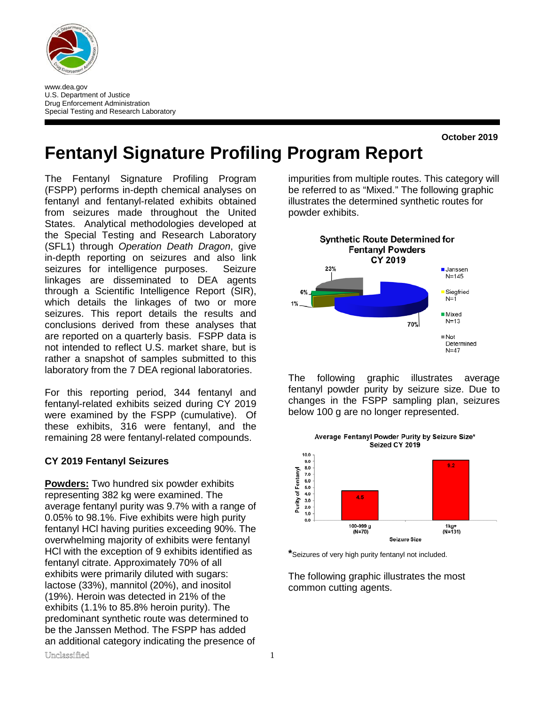

www.dea.gov U.S. Department of Justice Drug Enforcement Administration Special Testing and Research Laboratory

**October 2019**

# **Fentanyl Signature Profiling Program Report**

The Fentanyl Signature Profiling Program (FSPP) performs in-depth chemical analyses on fentanyl and fentanyl-related exhibits obtained from seizures made throughout the United States. Analytical methodologies developed at the Special Testing and Research Laboratory (SFL1) through *Operation Death Dragon*, give in-depth reporting on seizures and also link seizures for intelligence purposes. Seizure linkages are disseminated to DEA agents through a Scientific Intelligence Report (SIR), which details the linkages of two or more seizures. This report details the results and conclusions derived from these analyses that are reported on a quarterly basis. FSPP data is not intended to reflect U.S. market share, but is rather a snapshot of samples submitted to this laboratory from the 7 DEA regional laboratories.

For this reporting period, 344 fentanyl and fentanyl-related exhibits seized during CY 2019 were examined by the FSPP (cumulative). Of these exhibits, 316 were fentanyl, and the remaining 28 were fentanyl-related compounds.

#### **CY 2019 Fentanyl Seizures**

Unclassified 1 **Powders:** Two hundred six powder exhibits representing 382 kg were examined. The average fentanyl purity was 9.7% with a range of 0.05% to 98.1%. Five exhibits were high purity fentanyl HCl having purities exceeding 90%. The overwhelming majority of exhibits were fentanyl HCl with the exception of 9 exhibits identified as fentanyl citrate. Approximately 70% of all exhibits were primarily diluted with sugars: lactose (33%), mannitol (20%), and inositol (19%). Heroin was detected in 21% of the exhibits (1.1% to 85.8% heroin purity). The predominant synthetic route was determined to be the Janssen Method. The FSPP has added an additional category indicating the presence of

impurities from multiple routes. This category will be referred to as "Mixed." The following graphic illustrates the determined synthetic routes for powder exhibits.



The following graphic illustrates average fentanyl powder purity by seizure size. Due to changes in the FSPP sampling plan, seizures below 100 g are no longer represented.



**\***Seizures of very high purity fentanyl not included.

The following graphic illustrates the most common cutting agents.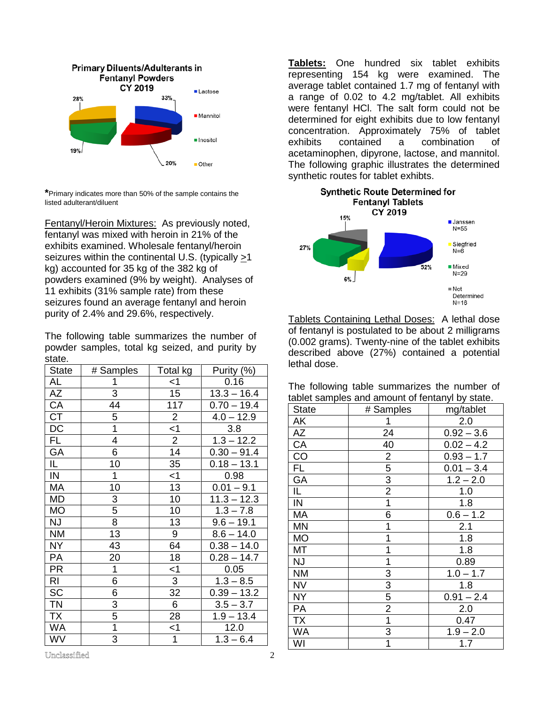

**\***Primary indicates more than 50% of the sample contains the listed adulterant/diluent

Fentanyl/Heroin Mixtures: As previously noted, fentanyl was mixed with heroin in 21% of the exhibits examined. Wholesale fentanyl/heroin seizures within the continental U.S. (typically >1 kg) accounted for 35 kg of the 382 kg of powders examined (9% by weight). Analyses of 11 exhibits (31% sample rate) from these seizures found an average fentanyl and heroin purity of 2.4% and 29.6%, respectively.

The following table summarizes the number of powder samples, total kg seized, and purity by state.

| <b>State</b>    | # Samples      | Total kg        | Purity (%)    |
|-----------------|----------------|-----------------|---------------|
| AL              | $\mathbf 1$    | $<$ 1           | 0.16          |
| AΖ              | $\overline{3}$ | 15              | $13.3 - 16.4$ |
| CA              | 44             | 117             | $0.70 - 19.4$ |
| СT              | 5              | $\overline{2}$  | $4.0 - 12.9$  |
| DC              | $\overline{1}$ | $\frac{1}{2}$   | 3.8           |
| $\overline{FL}$ | $\overline{4}$ |                 | $1.3 - 12.2$  |
| <b>GA</b>       | $\overline{6}$ | $\overline{14}$ | $0.30 - 91.4$ |
| IL.             | 10             | 35              | $0.18 - 13.1$ |
| IN              | $\mathbf 1$    | $<$ 1           | 0.98          |
| <b>MA</b>       | 10             | 13              | $0.01 - 9.1$  |
| <b>MD</b>       |                | 10              | $11.3 - 12.3$ |
| <b>MO</b>       | $\frac{3}{5}$  | 10              | $1.3 - 7.8$   |
| <b>NJ</b>       | $\overline{8}$ | 13              | $9.6 - 19.1$  |
| <b>NM</b>       | 13             | $\overline{9}$  | $8.6 - 14.0$  |
| <b>NY</b>       | 43             | 64              | $0.38 - 14.0$ |
| PA              | 20             | 18              | $0.28 - 14.7$ |
| <b>PR</b>       | $\overline{1}$ | $<$ 1           | 0.05          |
| RI              | $\overline{6}$ | $\overline{3}$  | $1.3 - 8.5$   |
| <b>SC</b>       | 6              | 32              | $0.39 - 13.2$ |
| <b>TN</b>       | $\overline{3}$ | $\overline{6}$  | $3.5 - 3.7$   |
| <b>TX</b>       | $\frac{5}{1}$  | 28              | $1.9 - 13.4$  |
| <b>WA</b>       |                | $<$ 1           | 12.0          |
| WV              | 3              | 1               | $1.3 - 6.4$   |

**Tablets:** One hundred six tablet exhibits representing 154 kg were examined. The average tablet contained 1.7 mg of fentanyl with a range of 0.02 to 4.2 mg/tablet. All exhibits were fentanyl HCl. The salt form could not be determined for eight exhibits due to low fentanyl concentration. Approximately 75% of tablet exhibits contained a combination of acetaminophen, dipyrone, lactose, and mannitol. The following graphic illustrates the determined synthetic routes for tablet exhibts.



Tablets Containing Lethal Doses: A lethal dose of fentanyl is postulated to be about 2 milligrams (0.002 grams). Twenty-nine of the tablet exhibits described above (27%) contained a potential lethal dose.

The following table summarizes the number of tablet samples and amount of fentanyl by state.

| State     | # Samples      | mg/tablet    |
|-----------|----------------|--------------|
| AΚ        |                | 2.0          |
| AZ        | 24             | $0.92 - 3.6$ |
| CA        | 40             | $0.02 - 4.2$ |
| CO        | 2              | $0.93 - 1.7$ |
| FL        | 5              | $0.01 - 3.4$ |
| GA        | 3              | $1.2 - 2.0$  |
| IL        | $\overline{2}$ | 1.0          |
| IN        | 1              | 1.8          |
| МA        | 6              | $0.6 - 1.2$  |
| <b>MN</b> | 1              | 2.1          |
| <b>MO</b> | 1              | 1.8          |
| МT        | 1              | 1.8          |
| <b>NJ</b> | 1              | 0.89         |
| <b>NM</b> | 3              | $1.0 - 1.7$  |
| <b>NV</b> | 3              | 1.8          |
| NY.       | 5              | $0.91 - 2.4$ |
| PA        | $\overline{2}$ | 2.0          |
| <b>TX</b> | 1              | 0.47         |
| WA        | 3              | $1.9 - 2.0$  |
| WI        | 1              | 1.7          |

Unclassified 2